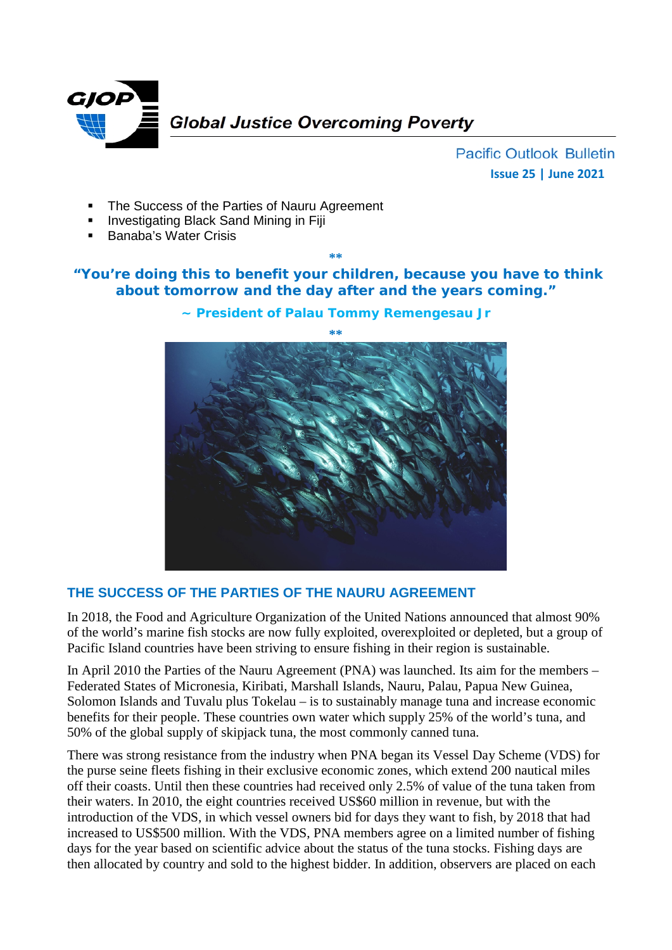

**Pacific Outlook Bulletin Issue 25 | June 2021**

- The Success of the Parties of Nauru Agreement
- Investigating Black Sand Mining in Fiji
- Banaba's Water Crisis

#### **\*\***

# **"You're doing this to benefit your children, because you have to think about tomorrow and the day after and the years coming."**



**~ President of Palau Tommy Remengesau Jr**

# **THE SUCCESS OF THE PARTIES OF THE NAURU AGREEMENT**

In 2018, the Food and Agriculture Organization of the United Nations announced that almost 90% of the world's marine fish stocks are now fully exploited, overexploited or depleted, but a group of Pacific Island countries have been striving to ensure fishing in their region is sustainable.

In April 2010 the Parties of the Nauru Agreement (PNA) was launched. Its aim for the members – Federated States of Micronesia, Kiribati, Marshall Islands, Nauru, Palau, Papua New Guinea, Solomon Islands and Tuvalu plus Tokelau – is to sustainably manage tuna and increase economic benefits for their people. These countries own water which supply 25% of the world's tuna, and 50% of the global supply of skipjack tuna, the most commonly canned tuna.

There was strong resistance from the industry when PNA began its Vessel Day Scheme (VDS) for the purse seine fleets fishing in their exclusive economic zones, which extend 200 nautical miles off their coasts. Until then these countries had received only 2.5% of value of the tuna taken from their waters. In 2010, the eight countries received US\$60 million in revenue, but with the introduction of the VDS, in which vessel owners bid for days they want to fish, by 2018 that had increased to US\$500 million. With the VDS, PNA members agree on a limited number of fishing days for the year based on scientific advice about the status of the tuna stocks. Fishing days are then allocated by country and sold to the highest bidder. In addition, observers are placed on each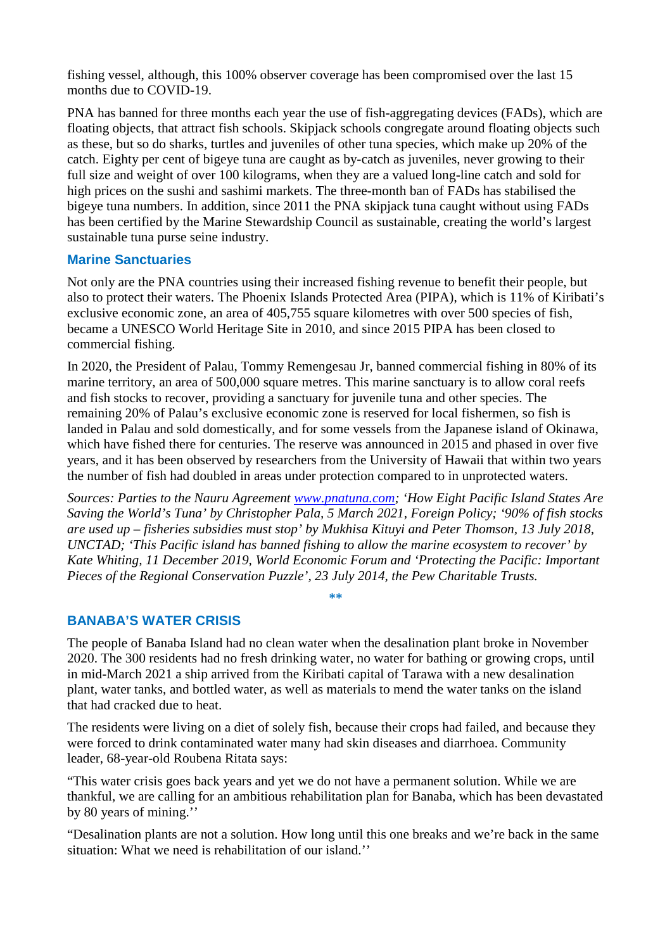fishing vessel, although, this 100% observer coverage has been compromised over the last 15 months due to COVID-19.

PNA has banned for three months each year the use of fish-aggregating devices (FADs), which are floating objects, that attract fish schools. Skipjack schools congregate around floating objects such as these, but so do sharks, turtles and juveniles of other tuna species, which make up 20% of the catch. Eighty per cent of bigeye tuna are caught as by-catch as juveniles, never growing to their full size and weight of over 100 kilograms, when they are a valued long-line catch and sold for high prices on the sushi and sashimi markets. The three-month ban of FADs has stabilised the bigeye tuna numbers. In addition, since 2011 the PNA skipjack tuna caught without using FADs has been certified by the Marine Stewardship Council as sustainable, creating the world's largest sustainable tuna purse seine industry.

### **Marine Sanctuaries**

Not only are the PNA countries using their increased fishing revenue to benefit their people, but also to protect their waters. The Phoenix Islands Protected Area (PIPA), which is 11% of Kiribati's exclusive economic zone, an area of 405,755 square kilometres with over 500 species of fish, became a UNESCO World Heritage Site in 2010, and since 2015 PIPA has been closed to commercial fishing.

In 2020, the President of Palau, Tommy Remengesau Jr, banned commercial fishing in 80% of its marine territory, an area of 500,000 square metres. This marine sanctuary is to allow coral reefs and fish stocks to recover, providing a sanctuary for juvenile tuna and other species. The remaining 20% of Palau's exclusive economic zone is reserved for local fishermen, so fish is landed in Palau and sold domestically, and for some vessels from the Japanese island of Okinawa, which have fished there for centuries. The reserve was announced in 2015 and phased in over five years, and it has been observed by researchers from the University of Hawaii that within two years the number of fish had doubled in areas under protection compared to in unprotected waters.

*Sources: Parties to the Nauru Agreement [www.pnatuna.com;](http://www.pnatuna.com/) 'How Eight Pacific Island States Are Saving the World's Tuna' by Christopher Pala, 5 March 2021, Foreign Policy; '90% of fish stocks are used up – fisheries subsidies must stop' by Mukhisa Kituyi and Peter Thomson, 13 July 2018, UNCTAD; 'This Pacific island has banned fishing to allow the marine ecosystem to recover' by Kate Whiting, 11 December 2019, World Economic Forum and 'Protecting the Pacific: Important Pieces of the Regional Conservation Puzzle', 23 July 2014, the Pew Charitable Trusts.*

**\*\***

#### **BANABA'S WATER CRISIS**

The people of Banaba Island had no clean water when the desalination plant broke in November 2020. The 300 residents had no fresh drinking water, no water for bathing or growing crops, until in mid-March 2021 a ship arrived from the Kiribati capital of Tarawa with a new desalination plant, water tanks, and bottled water, as well as materials to mend the water tanks on the island that had cracked due to heat.

The residents were living on a diet of solely fish, because their crops had failed, and because they were forced to drink contaminated water many had skin diseases and diarrhoea. Community leader, 68-year-old Roubena Ritata says:

"This water crisis goes back years and yet we do not have a permanent solution. While we are thankful, we are calling for an ambitious rehabilitation plan for Banaba, which has been devastated by 80 years of mining.''

"Desalination plants are not a solution. How long until this one breaks and we're back in the same situation: What we need is rehabilitation of our island.''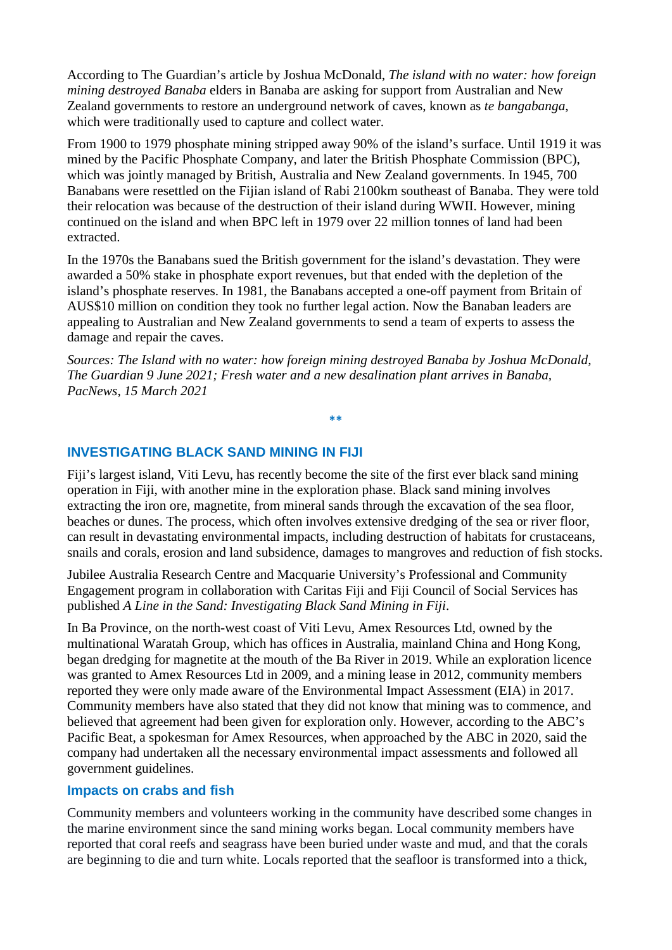According to The Guardian's article by Joshua McDonald, *The island with no water: how foreign mining destroyed Banaba* elders in Banaba are asking for support from Australian and New Zealand governments to restore an underground network of caves, known as *te bangabanga*, which were traditionally used to capture and collect water.

From 1900 to 1979 phosphate mining stripped away 90% of the island's surface. Until 1919 it was mined by the Pacific Phosphate Company, and later the British Phosphate Commission (BPC), which was jointly managed by British, Australia and New Zealand governments. In 1945, 700 Banabans were resettled on the Fijian island of Rabi 2100km southeast of Banaba. They were told their relocation was because of the destruction of their island during WWII. However, mining continued on the island and when BPC left in 1979 over 22 million tonnes of land had been extracted.

In the 1970s the Banabans sued the British government for the island's devastation. They were awarded a 50% stake in phosphate export revenues, but that ended with the depletion of the island's phosphate reserves. In 1981, the Banabans accepted a one-off payment from Britain of AUS\$10 million on condition they took no further legal action. Now the Banaban leaders are appealing to Australian and New Zealand governments to send a team of experts to assess the damage and repair the caves.

*Sources: The Island with no water: how foreign mining destroyed Banaba by Joshua McDonald, The Guardian 9 June 2021; Fresh water and a new desalination plant arrives in Banaba, PacNews, 15 March 2021*

**\*\***

# **INVESTIGATING BLACK SAND MINING IN FIJI**

Fiji's largest island, Viti Levu, has recently become the site of the first ever black sand mining operation in Fiji, with another mine in the exploration phase. Black sand mining involves extracting the iron ore, magnetite, from mineral sands through the excavation of the sea floor, beaches or dunes. The process, which often involves extensive dredging of the sea or river floor, can result in devastating environmental impacts, including destruction of habitats for crustaceans, snails and corals, erosion and land subsidence, damages to mangroves and reduction of fish stocks.

Jubilee Australia Research Centre and Macquarie University's Professional and Community Engagement program in collaboration with Caritas Fiji and Fiji Council of Social Services has published *A Line in the Sand: Investigating Black Sand Mining in Fiji*.

In Ba Province, on the north-west coast of Viti Levu, Amex Resources Ltd, owned by the multinational Waratah Group, which has offices in Australia, mainland China and Hong Kong, began dredging for magnetite at the mouth of the Ba River in 2019. While an exploration licence was granted to Amex Resources Ltd in 2009, and a mining lease in 2012, community members reported they were only made aware of the Environmental Impact Assessment (EIA) in 2017. Community members have also stated that they did not know that mining was to commence, and believed that agreement had been given for exploration only. However, according to the ABC's Pacific Beat, a spokesman for Amex Resources, when approached by the ABC in 2020, said the company had undertaken all the necessary environmental impact assessments and followed all government guidelines.

# **Impacts on crabs and fish**

Community members and volunteers working in the community have described some changes in the marine environment since the sand mining works began. Local community members have reported that coral reefs and seagrass have been buried under waste and mud, and that the corals are beginning to die and turn white. Locals reported that the seafloor is transformed into a thick,